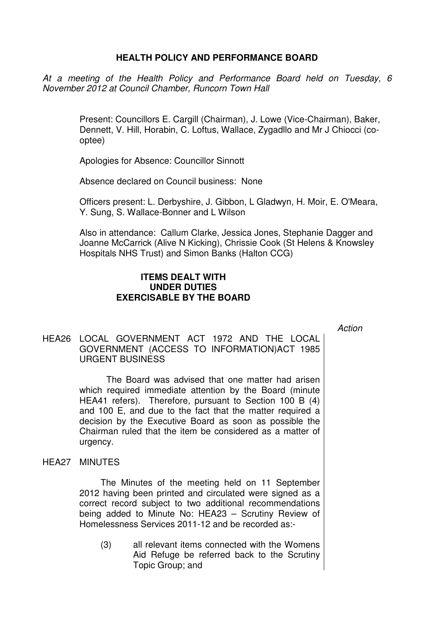# **HEALTH POLICY AND PERFORMANCE BOARD**

At a meeting of the Health Policy and Performance Board held on Tuesday, 6 November 2012 at Council Chamber, Runcorn Town Hall

> Present: Councillors E. Cargill (Chairman), J. Lowe (Vice-Chairman), Baker, Dennett, V. Hill, Horabin, C. Loftus, Wallace, Zygadllo and Mr J Chiocci (cooptee)

Apologies for Absence: Councillor Sinnott

Absence declared on Council business: None

Officers present: L. Derbyshire, J. Gibbon, L Gladwyn, H. Moir, E. O'Meara, Y. Sung, S. Wallace-Bonner and L Wilson

Also in attendance: Callum Clarke, Jessica Jones, Stephanie Dagger and Joanne McCarrick (Alive N Kicking), Chrissie Cook (St Helens & Knowsley Hospitals NHS Trust) and Simon Banks (Halton CCG)

# **ITEMS DEALT WITH UNDER DUTIES EXERCISABLE BY THE BOARD**

Action

# HEA26 LOCAL GOVERNMENT ACT 1972 AND THE LOCAL GOVERNMENT (ACCESS TO INFORMATION)ACT 1985 URGENT BUSINESS

 The Board was advised that one matter had arisen which required immediate attention by the Board (minute HEA41 refers). Therefore, pursuant to Section 100 B (4) and 100 E, and due to the fact that the matter required a decision by the Executive Board as soon as possible the Chairman ruled that the item be considered as a matter of urgency.

HEA27 MINUTES

 The Minutes of the meeting held on 11 September 2012 having been printed and circulated were signed as a correct record subject to two additional recommendations being added to Minute No: HEA23 – Scrutiny Review of Homelessness Services 2011-12 and be recorded as:-

 (3) all relevant items connected with the Womens Aid Refuge be referred back to the Scrutiny Topic Group; and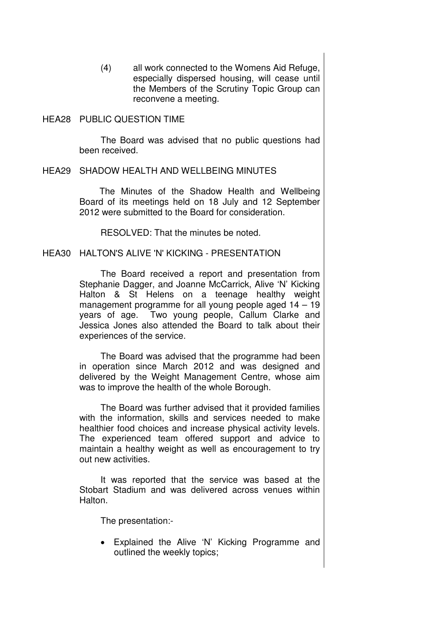(4) all work connected to the Womens Aid Refuge, especially dispersed housing, will cease until the Members of the Scrutiny Topic Group can reconvene a meeting.

HEA28 PUBLIC QUESTION TIME

 The Board was advised that no public questions had been received.

### HEA29 SHADOW HEALTH AND WELLBEING MINUTES

 The Minutes of the Shadow Health and Wellbeing Board of its meetings held on 18 July and 12 September 2012 were submitted to the Board for consideration.

RESOLVED: That the minutes be noted.

## HEA30 HALTON'S ALIVE 'N' KICKING - PRESENTATION

 The Board received a report and presentation from Stephanie Dagger, and Joanne McCarrick, Alive 'N' Kicking Halton & St Helens on a teenage healthy weight management programme for all young people aged 14 – 19 years of age. Two young people, Callum Clarke and Jessica Jones also attended the Board to talk about their experiences of the service.

The Board was advised that the programme had been in operation since March 2012 and was designed and delivered by the Weight Management Centre, whose aim was to improve the health of the whole Borough.

The Board was further advised that it provided families with the information, skills and services needed to make healthier food choices and increase physical activity levels. The experienced team offered support and advice to maintain a healthy weight as well as encouragement to try out new activities.

It was reported that the service was based at the Stobart Stadium and was delivered across venues within Halton.

The presentation:-

• Explained the Alive 'N' Kicking Programme and outlined the weekly topics;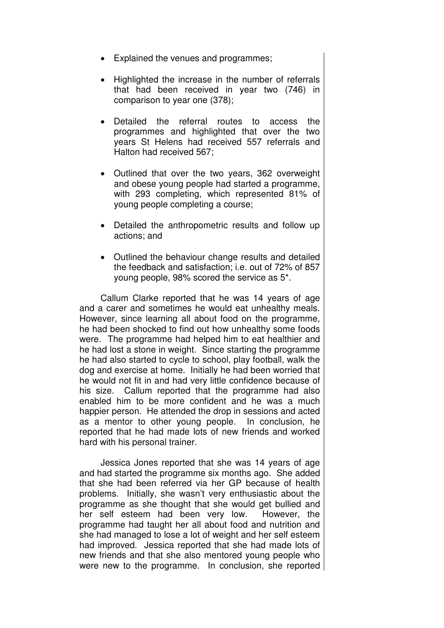- Explained the venues and programmes;
- Highlighted the increase in the number of referrals that had been received in year two (746) in comparison to year one (378);
- Detailed the referral routes to access the programmes and highlighted that over the two years St Helens had received 557 referrals and Halton had received 567;
- Outlined that over the two years, 362 overweight and obese young people had started a programme, with 293 completing, which represented 81% of young people completing a course;
- Detailed the anthropometric results and follow up actions; and
- Outlined the behaviour change results and detailed the feedback and satisfaction; i.e. out of 72% of 857 young people, 98% scored the service as 5\*.

Callum Clarke reported that he was 14 years of age and a carer and sometimes he would eat unhealthy meals. However, since learning all about food on the programme, he had been shocked to find out how unhealthy some foods were. The programme had helped him to eat healthier and he had lost a stone in weight. Since starting the programme he had also started to cycle to school, play football, walk the dog and exercise at home. Initially he had been worried that he would not fit in and had very little confidence because of his size. Callum reported that the programme had also enabled him to be more confident and he was a much happier person. He attended the drop in sessions and acted as a mentor to other young people. In conclusion, he reported that he had made lots of new friends and worked hard with his personal trainer.

Jessica Jones reported that she was 14 years of age and had started the programme six months ago. She added that she had been referred via her GP because of health problems. Initially, she wasn't very enthusiastic about the programme as she thought that she would get bullied and her self esteem had been very low. However, the programme had taught her all about food and nutrition and she had managed to lose a lot of weight and her self esteem had improved. Jessica reported that she had made lots of new friends and that she also mentored young people who were new to the programme. In conclusion, she reported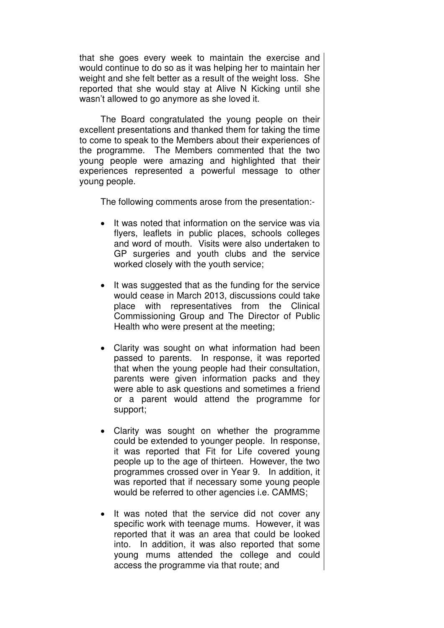that she goes every week to maintain the exercise and would continue to do so as it was helping her to maintain her weight and she felt better as a result of the weight loss. She reported that she would stay at Alive N Kicking until she wasn't allowed to go anymore as she loved it.

The Board congratulated the young people on their excellent presentations and thanked them for taking the time to come to speak to the Members about their experiences of the programme. The Members commented that the two young people were amazing and highlighted that their experiences represented a powerful message to other young people.

The following comments arose from the presentation:-

- It was noted that information on the service was via flyers, leaflets in public places, schools colleges and word of mouth. Visits were also undertaken to GP surgeries and youth clubs and the service worked closely with the youth service;
- It was suggested that as the funding for the service would cease in March 2013, discussions could take place with representatives from the Clinical Commissioning Group and The Director of Public Health who were present at the meeting;
- Clarity was sought on what information had been passed to parents. In response, it was reported that when the young people had their consultation, parents were given information packs and they were able to ask questions and sometimes a friend or a parent would attend the programme for support;
- Clarity was sought on whether the programme could be extended to younger people. In response, it was reported that Fit for Life covered young people up to the age of thirteen. However, the two programmes crossed over in Year 9. In addition, it was reported that if necessary some young people would be referred to other agencies i.e. CAMMS;
- It was noted that the service did not cover any specific work with teenage mums. However, it was reported that it was an area that could be looked into. In addition, it was also reported that some young mums attended the college and could access the programme via that route; and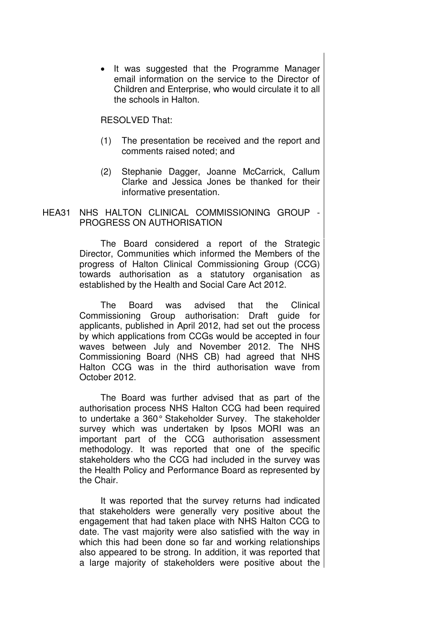• It was suggested that the Programme Manager email information on the service to the Director of Children and Enterprise, who would circulate it to all the schools in Halton.

### RESOLVED That:

- (1) The presentation be received and the report and comments raised noted; and
- (2) Stephanie Dagger, Joanne McCarrick, Callum Clarke and Jessica Jones be thanked for their informative presentation.
- HEA31 NHS HALTON CLINICAL COMMISSIONING GROUP PROGRESS ON AUTHORISATION

 The Board considered a report of the Strategic Director, Communities which informed the Members of the progress of Halton Clinical Commissioning Group (CCG) towards authorisation as a statutory organisation as established by the Health and Social Care Act 2012.

The Board was advised that the Clinical Commissioning Group authorisation: Draft guide for applicants, published in April 2012, had set out the process by which applications from CCGs would be accepted in four waves between July and November 2012. The NHS Commissioning Board (NHS CB) had agreed that NHS Halton CCG was in the third authorisation wave from October 2012.

The Board was further advised that as part of the authorisation process NHS Halton CCG had been required to undertake a 360° Stakeholder Survey. The stakeholder survey which was undertaken by Ipsos MORI was an important part of the CCG authorisation assessment methodology. It was reported that one of the specific stakeholders who the CCG had included in the survey was the Health Policy and Performance Board as represented by the Chair.

It was reported that the survey returns had indicated that stakeholders were generally very positive about the engagement that had taken place with NHS Halton CCG to date. The vast majority were also satisfied with the way in which this had been done so far and working relationships also appeared to be strong. In addition, it was reported that a large majority of stakeholders were positive about the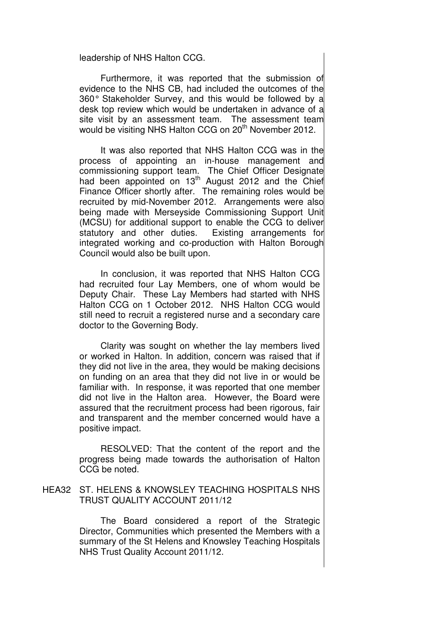leadership of NHS Halton CCG.

Furthermore, it was reported that the submission of evidence to the NHS CB, had included the outcomes of the 360° Stakeholder Survey, and this would be followed by a desk top review which would be undertaken in advance of a site visit by an assessment team. The assessment team would be visiting NHS Halton CCG on 20<sup>th</sup> November 2012.

It was also reported that NHS Halton CCG was in the process of appointing an in-house management and commissioning support team. The Chief Officer Designate had been appointed on 13<sup>th</sup> August 2012 and the Chief Finance Officer shortly after. The remaining roles would be recruited by mid-November 2012. Arrangements were also being made with Merseyside Commissioning Support Unit (MCSU) for additional support to enable the CCG to deliver statutory and other duties. Existing arrangements for integrated working and co-production with Halton Borough Council would also be built upon.

In conclusion, it was reported that NHS Halton CCG had recruited four Lay Members, one of whom would be Deputy Chair. These Lay Members had started with NHS Halton CCG on 1 October 2012. NHS Halton CCG would still need to recruit a registered nurse and a secondary care doctor to the Governing Body.

Clarity was sought on whether the lay members lived or worked in Halton. In addition, concern was raised that if they did not live in the area, they would be making decisions on funding on an area that they did not live in or would be familiar with. In response, it was reported that one member did not live in the Halton area. However, the Board were assured that the recruitment process had been rigorous, fair and transparent and the member concerned would have a positive impact.

RESOLVED: That the content of the report and the progress being made towards the authorisation of Halton CCG be noted.

HEA32 ST. HELENS & KNOWSLEY TEACHING HOSPITALS NHS TRUST QUALITY ACCOUNT 2011/12

> The Board considered a report of the Strategic Director, Communities which presented the Members with a summary of the St Helens and Knowsley Teaching Hospitals NHS Trust Quality Account 2011/12.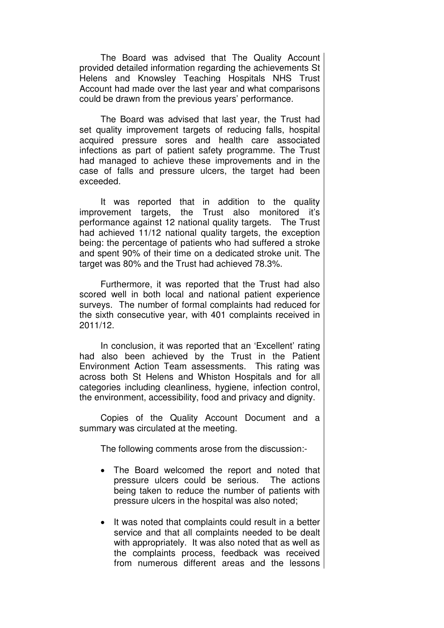The Board was advised that The Quality Account provided detailed information regarding the achievements St Helens and Knowsley Teaching Hospitals NHS Trust Account had made over the last year and what comparisons could be drawn from the previous years' performance.

The Board was advised that last year, the Trust had set quality improvement targets of reducing falls, hospital acquired pressure sores and health care associated infections as part of patient safety programme. The Trust had managed to achieve these improvements and in the case of falls and pressure ulcers, the target had been exceeded.

It was reported that in addition to the quality improvement targets, the Trust also monitored it's performance against 12 national quality targets. The Trust had achieved 11/12 national quality targets, the exception being: the percentage of patients who had suffered a stroke and spent 90% of their time on a dedicated stroke unit. The target was 80% and the Trust had achieved 78.3%.

Furthermore, it was reported that the Trust had also scored well in both local and national patient experience surveys. The number of formal complaints had reduced for the sixth consecutive year, with 401 complaints received in 2011/12.

In conclusion, it was reported that an 'Excellent' rating had also been achieved by the Trust in the Patient Environment Action Team assessments. This rating was across both St Helens and Whiston Hospitals and for all categories including cleanliness, hygiene, infection control, the environment, accessibility, food and privacy and dignity.

Copies of the Quality Account Document and a summary was circulated at the meeting.

- The Board welcomed the report and noted that pressure ulcers could be serious. The actions being taken to reduce the number of patients with pressure ulcers in the hospital was also noted;
- It was noted that complaints could result in a better service and that all complaints needed to be dealt with appropriately. It was also noted that as well as the complaints process, feedback was received from numerous different areas and the lessons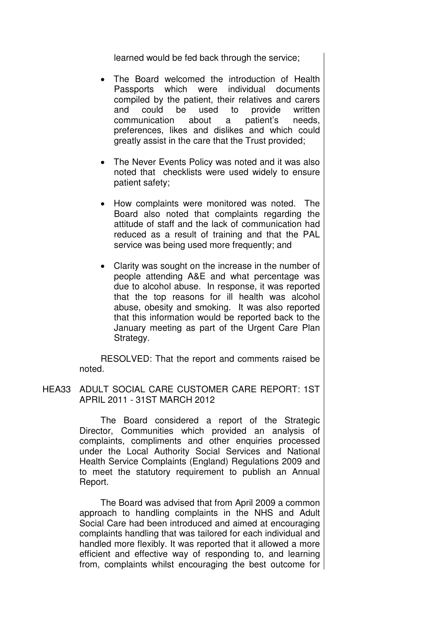learned would be fed back through the service;

- The Board welcomed the introduction of Health Passports which were individual documents compiled by the patient, their relatives and carers and could be used to provide written communication about a patient's needs, preferences, likes and dislikes and which could greatly assist in the care that the Trust provided;
- The Never Events Policy was noted and it was also noted that checklists were used widely to ensure patient safety;
- How complaints were monitored was noted. The Board also noted that complaints regarding the attitude of staff and the lack of communication had reduced as a result of training and that the PAL service was being used more frequently; and
- Clarity was sought on the increase in the number of people attending A&E and what percentage was due to alcohol abuse. In response, it was reported that the top reasons for ill health was alcohol abuse, obesity and smoking. It was also reported that this information would be reported back to the January meeting as part of the Urgent Care Plan Strategy.

RESOLVED: That the report and comments raised be noted.

HEA33 ADULT SOCIAL CARE CUSTOMER CARE REPORT: 1ST APRIL 2011 - 31ST MARCH 2012

> The Board considered a report of the Strategic Director, Communities which provided an analysis of complaints, compliments and other enquiries processed under the Local Authority Social Services and National Health Service Complaints (England) Regulations 2009 and to meet the statutory requirement to publish an Annual Report.

> The Board was advised that from April 2009 a common approach to handling complaints in the NHS and Adult Social Care had been introduced and aimed at encouraging complaints handling that was tailored for each individual and handled more flexibly. It was reported that it allowed a more efficient and effective way of responding to, and learning from, complaints whilst encouraging the best outcome for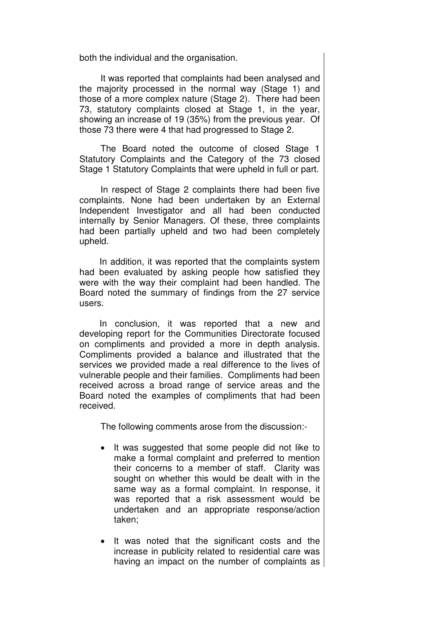both the individual and the organisation.

It was reported that complaints had been analysed and the majority processed in the normal way (Stage 1) and those of a more complex nature (Stage 2). There had been 73, statutory complaints closed at Stage 1, in the year, showing an increase of 19 (35%) from the previous year. Of those 73 there were 4 that had progressed to Stage 2.

The Board noted the outcome of closed Stage 1 Statutory Complaints and the Category of the 73 closed Stage 1 Statutory Complaints that were upheld in full or part.

In respect of Stage 2 complaints there had been five complaints. None had been undertaken by an External Independent Investigator and all had been conducted internally by Senior Managers. Of these, three complaints had been partially upheld and two had been completely upheld.

In addition, it was reported that the complaints system had been evaluated by asking people how satisfied they were with the way their complaint had been handled. The Board noted the summary of findings from the 27 service users.

In conclusion, it was reported that a new and developing report for the Communities Directorate focused on compliments and provided a more in depth analysis. Compliments provided a balance and illustrated that the services we provided made a real difference to the lives of vulnerable people and their families. Compliments had been received across a broad range of service areas and the Board noted the examples of compliments that had been received.

- It was suggested that some people did not like to make a formal complaint and preferred to mention their concerns to a member of staff. Clarity was sought on whether this would be dealt with in the same way as a formal complaint. In response, it was reported that a risk assessment would be undertaken and an appropriate response/action taken;
- It was noted that the significant costs and the increase in publicity related to residential care was having an impact on the number of complaints as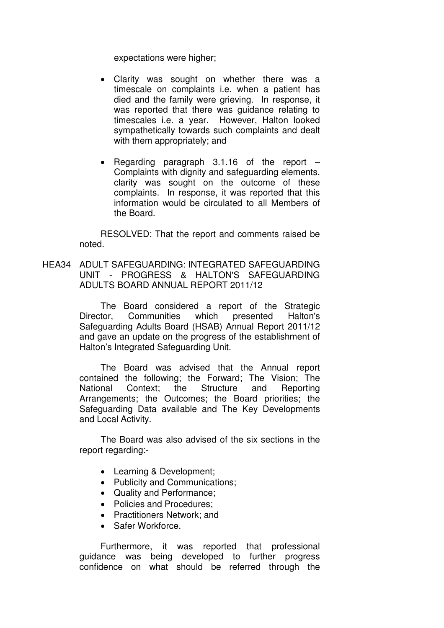expectations were higher;

- Clarity was sought on whether there was a timescale on complaints i.e. when a patient has died and the family were grieving. In response, it was reported that there was guidance relating to timescales i.e. a year. However, Halton looked sympathetically towards such complaints and dealt with them appropriately; and
- Regarding paragraph 3.1.16 of the report Complaints with dignity and safeguarding elements, clarity was sought on the outcome of these complaints. In response, it was reported that this information would be circulated to all Members of the Board.

RESOLVED: That the report and comments raised be noted.

HEA34 ADULT SAFEGUARDING: INTEGRATED SAFEGUARDING UNIT - PROGRESS & HALTON'S SAFEGUARDING ADULTS BOARD ANNUAL REPORT 2011/12

> The Board considered a report of the Strategic Director, Communities which presented Halton's Safeguarding Adults Board (HSAB) Annual Report 2011/12 and gave an update on the progress of the establishment of Halton's Integrated Safeguarding Unit.

> The Board was advised that the Annual report contained the following; the Forward; The Vision; The National Context; the Structure and Reporting Arrangements; the Outcomes; the Board priorities; the Safeguarding Data available and The Key Developments and Local Activity.

> The Board was also advised of the six sections in the report regarding:-

- Learning & Development;
- Publicity and Communications;
- Quality and Performance;
- Policies and Procedures;
- Practitioners Network; and
- Safer Workforce.

Furthermore, it was reported that professional guidance was being developed to further progress confidence on what should be referred through the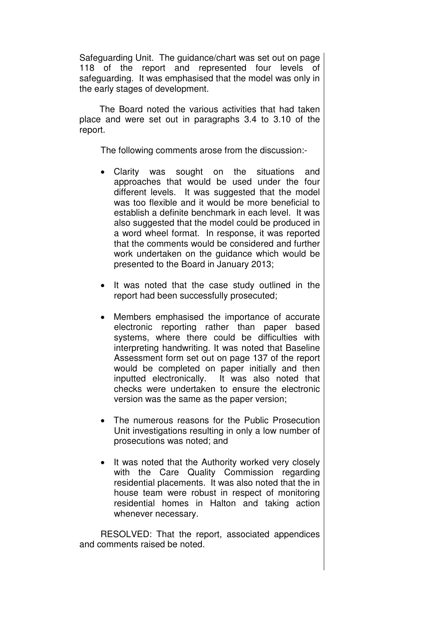Safeguarding Unit. The guidance/chart was set out on page 118 of the report and represented four levels of safeguarding. It was emphasised that the model was only in the early stages of development.

The Board noted the various activities that had taken place and were set out in paragraphs 3.4 to 3.10 of the report.

The following comments arose from the discussion:-

- Clarity was sought on the situations and approaches that would be used under the four different levels. It was suggested that the model was too flexible and it would be more beneficial to establish a definite benchmark in each level. It was also suggested that the model could be produced in a word wheel format. In response, it was reported that the comments would be considered and further work undertaken on the guidance which would be presented to the Board in January 2013;
- It was noted that the case study outlined in the report had been successfully prosecuted;
- Members emphasised the importance of accurate electronic reporting rather than paper based systems, where there could be difficulties with interpreting handwriting. It was noted that Baseline Assessment form set out on page 137 of the report would be completed on paper initially and then inputted electronically. It was also noted that checks were undertaken to ensure the electronic version was the same as the paper version;
- The numerous reasons for the Public Prosecution Unit investigations resulting in only a low number of prosecutions was noted; and
- It was noted that the Authority worked very closely with the Care Quality Commission regarding residential placements. It was also noted that the in house team were robust in respect of monitoring residential homes in Halton and taking action whenever necessary.

RESOLVED: That the report, associated appendices and comments raised be noted.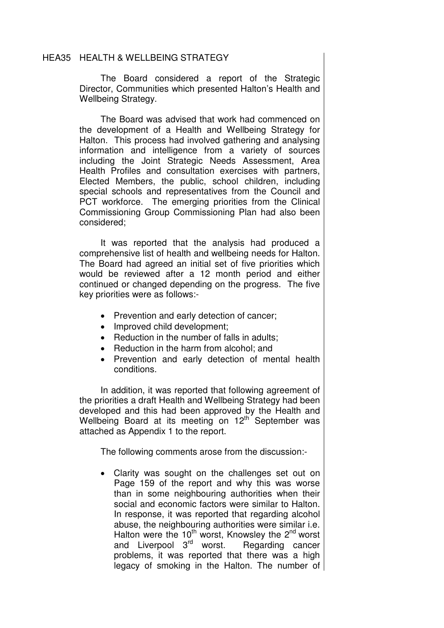### HEA35 HEALTH & WELLBEING STRATEGY

 The Board considered a report of the Strategic Director, Communities which presented Halton's Health and Wellbeing Strategy.

The Board was advised that work had commenced on the development of a Health and Wellbeing Strategy for Halton. This process had involved gathering and analysing information and intelligence from a variety of sources including the Joint Strategic Needs Assessment, Area Health Profiles and consultation exercises with partners, Elected Members, the public, school children, including special schools and representatives from the Council and PCT workforce. The emerging priorities from the Clinical Commissioning Group Commissioning Plan had also been considered;

It was reported that the analysis had produced a comprehensive list of health and wellbeing needs for Halton. The Board had agreed an initial set of five priorities which would be reviewed after a 12 month period and either continued or changed depending on the progress. The five key priorities were as follows:-

- Prevention and early detection of cancer;
- Improved child development:
- Reduction in the number of falls in adults:
- Reduction in the harm from alcohol; and
- Prevention and early detection of mental health conditions.

In addition, it was reported that following agreement of the priorities a draft Health and Wellbeing Strategy had been developed and this had been approved by the Health and Wellbeing Board at its meeting on  $12<sup>th</sup>$  September was attached as Appendix 1 to the report.

The following comments arose from the discussion:-

• Clarity was sought on the challenges set out on Page 159 of the report and why this was worse than in some neighbouring authorities when their social and economic factors were similar to Halton. In response, it was reported that regarding alcohol abuse, the neighbouring authorities were similar i.e. Halton were the  $10<sup>th</sup>$  worst, Knowsley the  $2<sup>nd</sup>$  worst  $\frac{1}{2}$  and Liverpool  $3^{rd}$  worst. Regarding cancer problems, it was reported that there was a high legacy of smoking in the Halton. The number of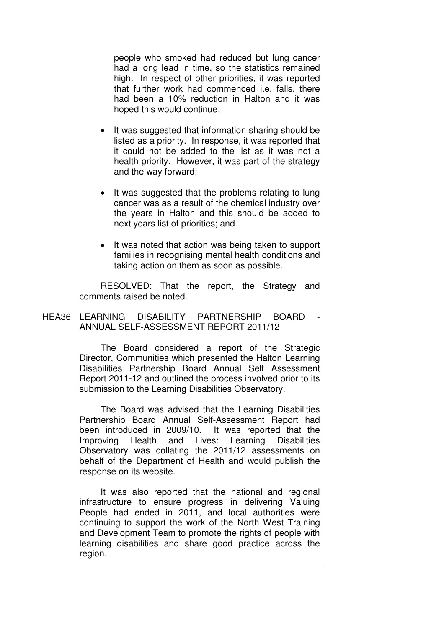people who smoked had reduced but lung cancer had a long lead in time, so the statistics remained high. In respect of other priorities, it was reported that further work had commenced i.e. falls, there had been a 10% reduction in Halton and it was hoped this would continue;

- It was suggested that information sharing should be listed as a priority. In response, it was reported that it could not be added to the list as it was not a health priority. However, it was part of the strategy and the way forward;
- It was suggested that the problems relating to lung cancer was as a result of the chemical industry over the years in Halton and this should be added to next years list of priorities; and
- It was noted that action was being taken to support families in recognising mental health conditions and taking action on them as soon as possible.

RESOLVED: That the report, the Strategy and comments raised be noted.

## HEA36 LEARNING DISABILITY PARTNERSHIP BOARD ANNUAL SELF-ASSESSMENT REPORT 2011/12

 The Board considered a report of the Strategic Director, Communities which presented the Halton Learning Disabilities Partnership Board Annual Self Assessment Report 2011-12 and outlined the process involved prior to its submission to the Learning Disabilities Observatory.

The Board was advised that the Learning Disabilities Partnership Board Annual Self-Assessment Report had been introduced in 2009/10. It was reported that the Improving Health and Lives: Learning Disabilities Observatory was collating the 2011/12 assessments on behalf of the Department of Health and would publish the response on its website.

It was also reported that the national and regional infrastructure to ensure progress in delivering Valuing People had ended in 2011, and local authorities were continuing to support the work of the North West Training and Development Team to promote the rights of people with learning disabilities and share good practice across the region.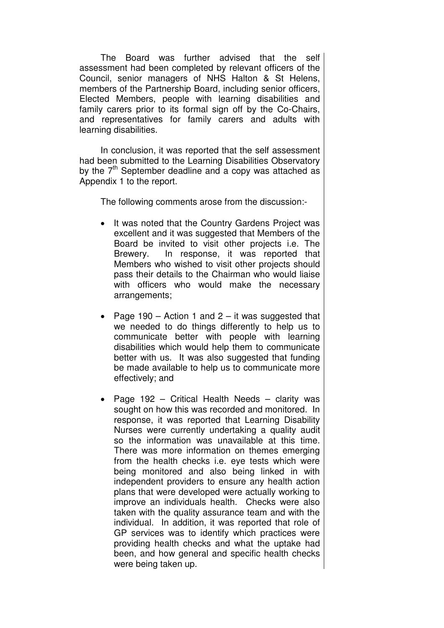The Board was further advised that the self assessment had been completed by relevant officers of the Council, senior managers of NHS Halton & St Helens, members of the Partnership Board, including senior officers, Elected Members, people with learning disabilities and family carers prior to its formal sign off by the Co-Chairs, and representatives for family carers and adults with learning disabilities.

In conclusion, it was reported that the self assessment had been submitted to the Learning Disabilities Observatory by the  $7<sup>th</sup>$  September deadline and a copy was attached as Appendix 1 to the report.

- It was noted that the Country Gardens Project was excellent and it was suggested that Members of the Board be invited to visit other projects i.e. The Brewery. In response, it was reported that Members who wished to visit other projects should pass their details to the Chairman who would liaise with officers who would make the necessary arrangements;
- Page 190 Action 1 and  $2 it$  was suggested that we needed to do things differently to help us to communicate better with people with learning disabilities which would help them to communicate better with us. It was also suggested that funding be made available to help us to communicate more effectively; and
- Page 192 Critical Health Needs clarity was sought on how this was recorded and monitored. In response, it was reported that Learning Disability Nurses were currently undertaking a quality audit so the information was unavailable at this time. There was more information on themes emerging from the health checks i.e. eye tests which were being monitored and also being linked in with independent providers to ensure any health action plans that were developed were actually working to improve an individuals health. Checks were also taken with the quality assurance team and with the individual. In addition, it was reported that role of GP services was to identify which practices were providing health checks and what the uptake had been, and how general and specific health checks were being taken up.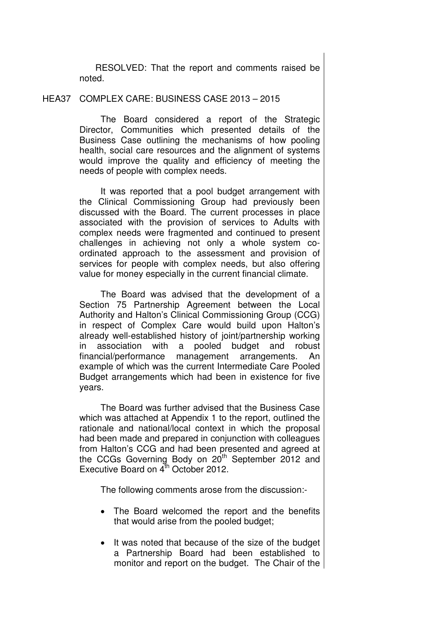RESOLVED: That the report and comments raised be noted.

#### HEA37 COMPLEX CARE: BUSINESS CASE 2013 – 2015

 The Board considered a report of the Strategic Director, Communities which presented details of the Business Case outlining the mechanisms of how pooling health, social care resources and the alignment of systems would improve the quality and efficiency of meeting the needs of people with complex needs.

It was reported that a pool budget arrangement with the Clinical Commissioning Group had previously been discussed with the Board. The current processes in place associated with the provision of services to Adults with complex needs were fragmented and continued to present challenges in achieving not only a whole system coordinated approach to the assessment and provision of services for people with complex needs, but also offering value for money especially in the current financial climate.

The Board was advised that the development of a Section 75 Partnership Agreement between the Local Authority and Halton's Clinical Commissioning Group (CCG) in respect of Complex Care would build upon Halton's already well-established history of joint/partnership working in association with a pooled budget and robust financial/performance management arrangements. An example of which was the current Intermediate Care Pooled Budget arrangements which had been in existence for five years.

The Board was further advised that the Business Case which was attached at Appendix 1 to the report, outlined the rationale and national/local context in which the proposal had been made and prepared in conjunction with colleagues from Halton's CCG and had been presented and agreed at the CCGs Governing Body on 20<sup>th</sup> September 2012 and Executive Board on  $4^{\text{th}}$  October 2012.

- The Board welcomed the report and the benefits that would arise from the pooled budget;
- It was noted that because of the size of the budget a Partnership Board had been established to monitor and report on the budget. The Chair of the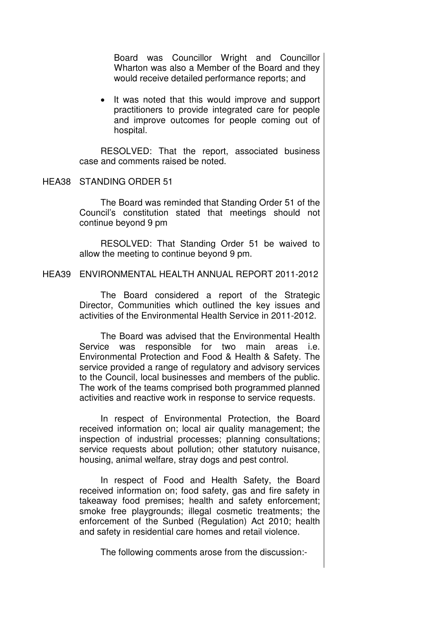Board was Councillor Wright and Councillor Wharton was also a Member of the Board and they would receive detailed performance reports; and

It was noted that this would improve and support practitioners to provide integrated care for people and improve outcomes for people coming out of hospital.

RESOLVED: That the report, associated business case and comments raised be noted.

#### HEA38 STANDING ORDER 51

 The Board was reminded that Standing Order 51 of the Council's constitution stated that meetings should not continue beyond 9 pm

RESOLVED: That Standing Order 51 be waived to allow the meeting to continue beyond 9 pm.

### HEA39 ENVIRONMENTAL HEALTH ANNUAL REPORT 2011-2012

 The Board considered a report of the Strategic Director, Communities which outlined the key issues and activities of the Environmental Health Service in 2011-2012.

 The Board was advised that the Environmental Health Service was responsible for two main areas i.e. Environmental Protection and Food & Health & Safety. The service provided a range of regulatory and advisory services to the Council, local businesses and members of the public. The work of the teams comprised both programmed planned activities and reactive work in response to service requests.

 In respect of Environmental Protection, the Board received information on; local air quality management; the inspection of industrial processes; planning consultations; service requests about pollution; other statutory nuisance, housing, animal welfare, stray dogs and pest control.

 In respect of Food and Health Safety, the Board received information on; food safety, gas and fire safety in takeaway food premises; health and safety enforcement; smoke free playgrounds; illegal cosmetic treatments; the enforcement of the Sunbed (Regulation) Act 2010; health and safety in residential care homes and retail violence.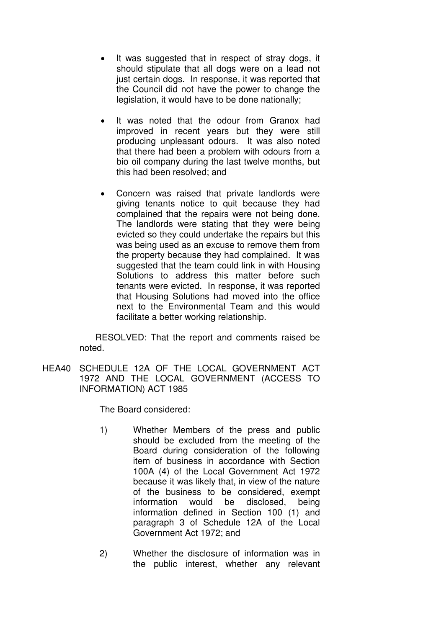- It was suggested that in respect of stray dogs, it should stipulate that all dogs were on a lead not just certain dogs. In response, it was reported that the Council did not have the power to change the legislation, it would have to be done nationally;
- It was noted that the odour from Granox had improved in recent years but they were still producing unpleasant odours. It was also noted that there had been a problem with odours from a bio oil company during the last twelve months, but this had been resolved; and
- Concern was raised that private landlords were giving tenants notice to quit because they had complained that the repairs were not being done. The landlords were stating that they were being evicted so they could undertake the repairs but this was being used as an excuse to remove them from the property because they had complained. It was suggested that the team could link in with Housing Solutions to address this matter before such tenants were evicted. In response, it was reported that Housing Solutions had moved into the office next to the Environmental Team and this would facilitate a better working relationship.

RESOLVED: That the report and comments raised be noted.

HEA40 SCHEDULE 12A OF THE LOCAL GOVERNMENT ACT 1972 AND THE LOCAL GOVERNMENT (ACCESS TO INFORMATION) ACT 1985

The Board considered:

- 1) Whether Members of the press and public should be excluded from the meeting of the Board during consideration of the following item of business in accordance with Section 100A (4) of the Local Government Act 1972 because it was likely that, in view of the nature of the business to be considered, exempt information would be disclosed, being information defined in Section 100 (1) and paragraph 3 of Schedule 12A of the Local Government Act 1972; and
- 2) Whether the disclosure of information was in the public interest, whether any relevant